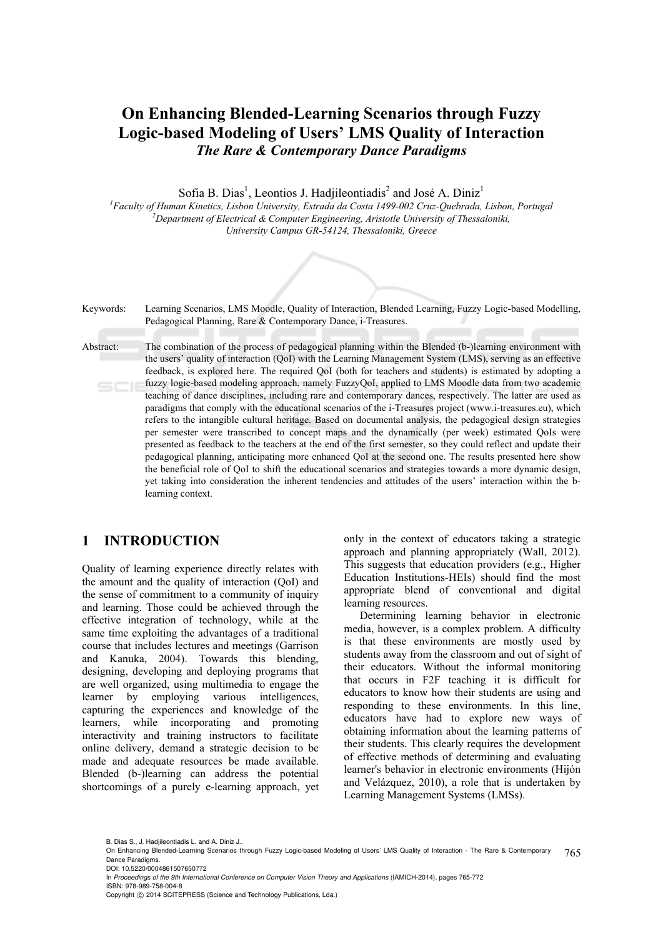# **On Enhancing Blended-Learning Scenarios through Fuzzy Logic-based Modeling of Users' LMS Quality of Interaction**  *The Rare & Contemporary Dance Paradigms*

Sofia B. Dias<sup>1</sup>, Leontios J. Hadjileontiadis<sup>2</sup> and José A. Diniz<sup>1</sup>

<sup>1</sup> Faculty of Human Kinetics, Lisbon University, Estrada da Costa 1499-002 Cruz-Quebrada, Lisbon, Portugal <sup>2</sup> Donaytmant of Electrical & Computer Engineering Aristotle University of Theoreloniki *Department of Electrical & Computer Engineering, Aristotle University of Thessaloniki, University Campus GR-54124, Thessaloniki, Greece* 



## **1 INTRODUCTION**

Quality of learning experience directly relates with the amount and the quality of interaction (QoI) and the sense of commitment to a community of inquiry and learning. Those could be achieved through the effective integration of technology, while at the same time exploiting the advantages of a traditional course that includes lectures and meetings (Garrison and Kanuka, 2004). Towards this blending, designing, developing and deploying programs that are well organized, using multimedia to engage the learner by employing various intelligences, capturing the experiences and knowledge of the learners, while incorporating and promoting interactivity and training instructors to facilitate online delivery, demand a strategic decision to be made and adequate resources be made available. Blended (b-)learning can address the potential shortcomings of a purely e-learning approach, yet only in the context of educators taking a strategic approach and planning appropriately (Wall, 2012). This suggests that education providers (e.g., Higher Education Institutions-HEIs) should find the most appropriate blend of conventional and digital learning resources.

Determining learning behavior in electronic media, however, is a complex problem. A difficulty is that these environments are mostly used by students away from the classroom and out of sight of their educators. Without the informal monitoring that occurs in F2F teaching it is difficult for educators to know how their students are using and responding to these environments. In this line, educators have had to explore new ways of obtaining information about the learning patterns of their students. This clearly requires the development of effective methods of determining and evaluating learner's behavior in electronic environments (Hijón and Velázquez, 2010), a role that is undertaken by Learning Management Systems (LMSs).

B. Dias S., J. Hadjileontiadis L. and A. Diniz J..

<sup>765</sup> On Enhancing Blended-Learning Scenarios through Fuzzy Logic-based Modeling of Users' LMS Quality of Interaction - The Rare & Contemporary Dance Paradigms. DOI: 10.5220/0004861507650772

In *Proceedings of the 9th International Conference on Computer Vision Theory and Applications* (IAMICH-2014), pages 765-772 ISBN: 978-989-758-004-8

Copyright (C) 2014 SCITEPRESS (Science and Technology Publications, Lda.)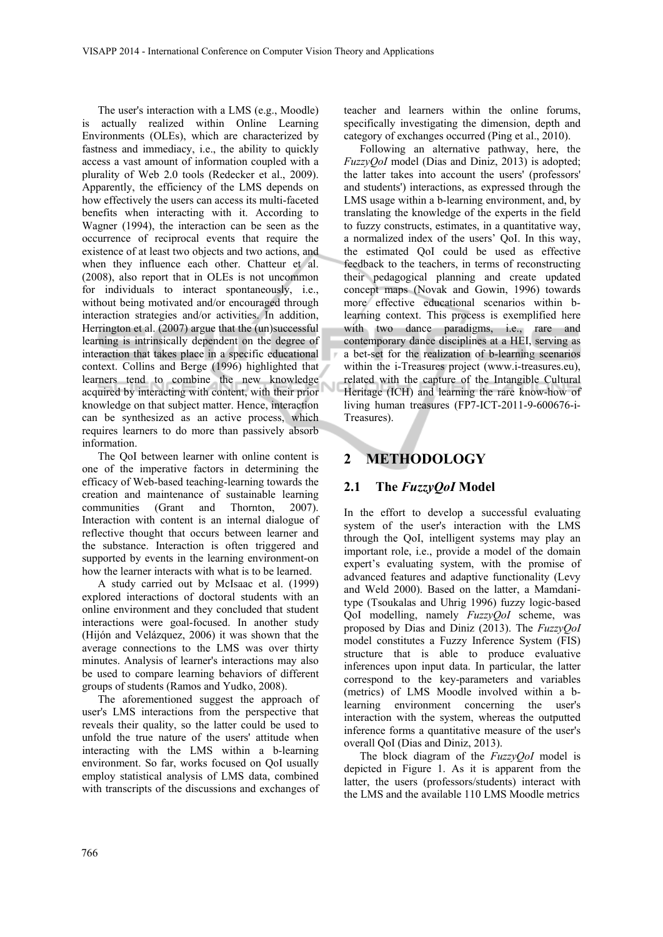The user's interaction with a LMS (e.g., Moodle) is actually realized within Online Learning Environments (OLEs), which are characterized by fastness and immediacy, i.e., the ability to quickly access a vast amount of information coupled with a plurality of Web 2.0 tools (Redecker et al., 2009). Apparently, the efficiency of the LMS depends on how effectively the users can access its multi-faceted benefits when interacting with it. According to Wagner (1994), the interaction can be seen as the occurrence of reciprocal events that require the existence of at least two objects and two actions, and when they influence each other. Chatteur et al. (2008), also report that in OLEs is not uncommon for individuals to interact spontaneously, i.e., without being motivated and/or encouraged through interaction strategies and/or activities. In addition, Herrington et al. (2007) argue that the (un)successful learning is intrinsically dependent on the degree of interaction that takes place in a specific educational context. Collins and Berge (1996) highlighted that learners tend to combine the new knowledge acquired by interacting with content, with their prior knowledge on that subject matter. Hence, interaction can be synthesized as an active process, which requires learners to do more than passively absorb information.

The QoI between learner with online content is one of the imperative factors in determining the efficacy of Web-based teaching-learning towards the creation and maintenance of sustainable learning communities (Grant and Thornton, 2007). Interaction with content is an internal dialogue of reflective thought that occurs between learner and the substance. Interaction is often triggered and supported by events in the learning environment-on how the learner interacts with what is to be learned.

A study carried out by McIsaac et al. (1999) explored interactions of doctoral students with an online environment and they concluded that student interactions were goal-focused. In another study (Hijón and Velázquez, 2006) it was shown that the average connections to the LMS was over thirty minutes. Analysis of learner's interactions may also be used to compare learning behaviors of different groups of students (Ramos and Yudko, 2008).

The aforementioned suggest the approach of user's LMS interactions from the perspective that reveals their quality, so the latter could be used to unfold the true nature of the users' attitude when interacting with the LMS within a b-learning environment. So far, works focused on QoI usually employ statistical analysis of LMS data, combined with transcripts of the discussions and exchanges of

teacher and learners within the online forums, specifically investigating the dimension, depth and category of exchanges occurred (Ping et al., 2010).

Following an alternative pathway, here, the *FuzzyQoI* model (Dias and Diniz, 2013) is adopted; the latter takes into account the users' (professors' and students') interactions, as expressed through the LMS usage within a b-learning environment, and, by translating the knowledge of the experts in the field to fuzzy constructs, estimates, in a quantitative way, a normalized index of the users' QoI. In this way, the estimated QoI could be used as effective feedback to the teachers, in terms of reconstructing their pedagogical planning and create updated concept maps (Novak and Gowin, 1996) towards more effective educational scenarios within blearning context. This process is exemplified here with two dance paradigms, i.e., rare and contemporary dance disciplines at a HEI, serving as a bet-set for the realization of b-learning scenarios within the i-Treasures project (www.i-treasures.eu), related with the capture of the Intangible Cultural Heritage (ICH) and learning the rare know-how of living human treasures (FP7-ICT-2011-9-600676-i-Treasures).

## **2 METHODOLOGY**

## **2.1 The** *FuzzyQoI* **Model**

In the effort to develop a successful evaluating system of the user's interaction with the LMS through the QoI, intelligent systems may play an important role, i.e., provide a model of the domain expert's evaluating system, with the promise of advanced features and adaptive functionality (Levy and Weld 2000). Based on the latter, a Mamdanitype (Tsoukalas and Uhrig 1996) fuzzy logic-based QoI modelling, namely *FuzzyQoI* scheme, was proposed by Dias and Diniz (2013). The *FuzzyQoI* model constitutes a Fuzzy Inference System (FIS) structure that is able to produce evaluative inferences upon input data. In particular, the latter correspond to the key-parameters and variables (metrics) of LMS Moodle involved within a blearning environment concerning the user's interaction with the system, whereas the outputted inference forms a quantitative measure of the user's overall QoI (Dias and Diniz, 2013).

The block diagram of the *FuzzyQoI* model is depicted in Figure 1. As it is apparent from the latter, the users (professors/students) interact with the LMS and the available 110 LMS Moodle metrics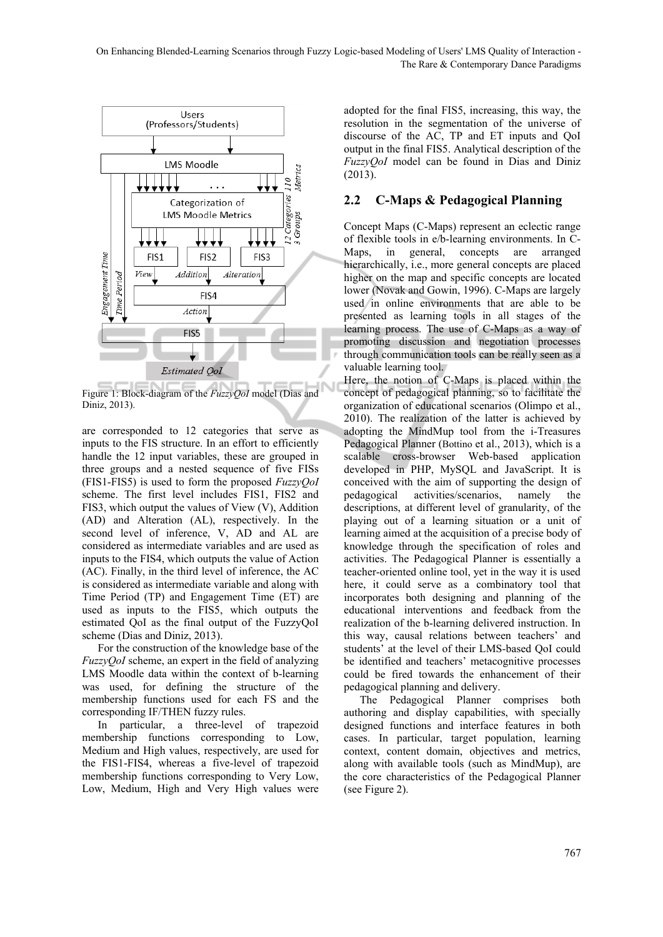

Figure 1: Block-diagram of the *FuzzyQoI* model (Dias and Diniz, 2013).

are corresponded to 12 categories that serve as inputs to the FIS structure. In an effort to efficiently handle the 12 input variables, these are grouped in three groups and a nested sequence of five FISs (FIS1-FIS5) is used to form the proposed *FuzzyQoI* scheme. The first level includes FIS1, FIS2 and FIS3, which output the values of View (V), Addition (AD) and Alteration (AL), respectively. In the second level of inference, V, AD and AL are considered as intermediate variables and are used as inputs to the FIS4, which outputs the value of Action (AC). Finally, in the third level of inference, the AC is considered as intermediate variable and along with Time Period (TP) and Engagement Time (ET) are used as inputs to the FIS5, which outputs the estimated QoI as the final output of the FuzzyQoI scheme (Dias and Diniz, 2013).

For the construction of the knowledge base of the *FuzzyQoI* scheme, an expert in the field of analyzing LMS Moodle data within the context of b-learning was used, for defining the structure of the membership functions used for each FS and the corresponding IF/THEN fuzzy rules.

In particular, a three-level of trapezoid membership functions corresponding to Low, Medium and High values, respectively, are used for the FIS1-FIS4, whereas a five-level of trapezoid membership functions corresponding to Very Low, Low, Medium, High and Very High values were

adopted for the final FIS5, increasing, this way, the resolution in the segmentation of the universe of discourse of the AC, TP and ET inputs and QoI output in the final FIS5. Analytical description of the *FuzzyQoI* model can be found in Dias and Diniz (2013).

## **2.2 C-Maps & Pedagogical Planning**

Concept Maps (C-Maps) represent an eclectic range of flexible tools in e/b-learning environments. In C-Maps, in general, concepts are arranged hierarchically, *i.e.*, more general concepts are placed higher on the map and specific concepts are located lower (Novak and Gowin, 1996). C-Maps are largely used in online environments that are able to be presented as learning tools in all stages of the learning process. The use of C-Maps as a way of promoting discussion and negotiation processes through communication tools can be really seen as a valuable learning tool.

Here, the notion of C-Maps is placed within the concept of pedagogical planning, so to facilitate the organization of educational scenarios (Olimpo et al., 2010). The realization of the latter is achieved by adopting the MindMup tool from the i-Treasures Pedagogical Planner (Bottino et al., 2013), which is a scalable cross-browser Web-based application developed in PHP, MySQL and JavaScript. It is conceived with the aim of supporting the design of pedagogical activities/scenarios, namely the descriptions, at different level of granularity, of the playing out of a learning situation or a unit of learning aimed at the acquisition of a precise body of knowledge through the specification of roles and activities. The Pedagogical Planner is essentially a teacher-oriented online tool, yet in the way it is used here, it could serve as a combinatory tool that incorporates both designing and planning of the educational interventions and feedback from the realization of the b-learning delivered instruction. In this way, causal relations between teachers' and students' at the level of their LMS-based QoI could be identified and teachers' metacognitive processes could be fired towards the enhancement of their pedagogical planning and delivery.

The Pedagogical Planner comprises both authoring and display capabilities, with specially designed functions and interface features in both cases. In particular, target population, learning context, content domain, objectives and metrics, along with available tools (such as MindMup), are the core characteristics of the Pedagogical Planner (see Figure 2).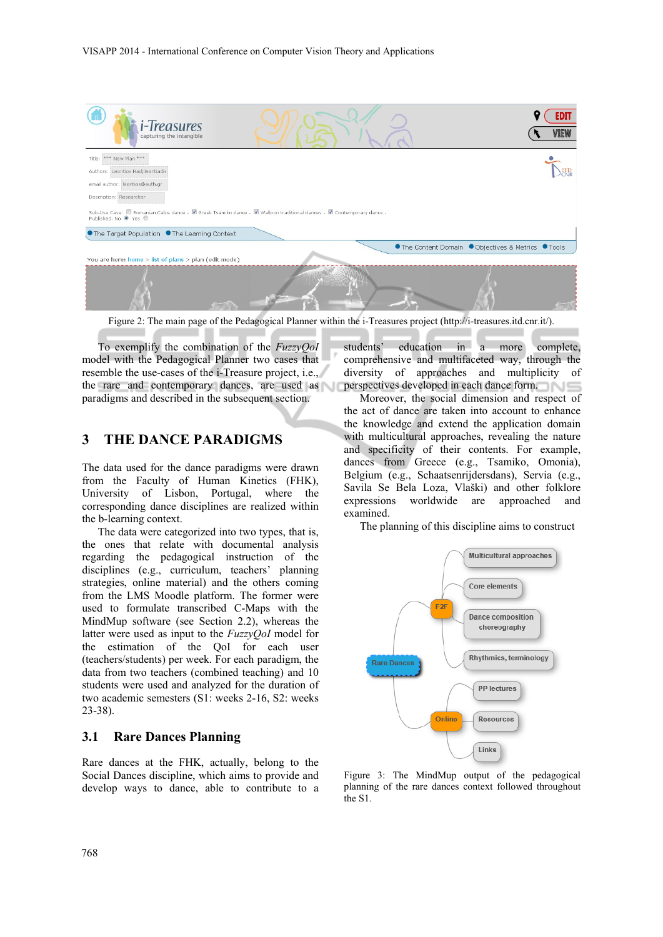

Figure 2: The main page of the Pedagogical Planner within the i-Treasures project (http://i-treasures.itd.cnr.it/).

To exemplify the combination of the *FuzzyQoI* model with the Pedagogical Planner two cases that resemble the use-cases of the i-Treasure project, i.e., the rare and contemporary dances, are used as paradigms and described in the subsequent section.

## **3 THE DANCE PARADIGMS**

The data used for the dance paradigms were drawn from the Faculty of Human Kinetics (FHK), University of Lisbon, Portugal, where the corresponding dance disciplines are realized within the b-learning context.

The data were categorized into two types, that is, the ones that relate with documental analysis regarding the pedagogical instruction of the disciplines (e.g., curriculum, teachers' planning strategies, online material) and the others coming from the LMS Moodle platform. The former were used to formulate transcribed C-Maps with the MindMup software (see Section 2.2), whereas the latter were used as input to the *FuzzyQoI* model for the estimation of the QoI for each user (teachers/students) per week. For each paradigm, the data from two teachers (combined teaching) and 10 students were used and analyzed for the duration of two academic semesters (S1: weeks 2-16, S2: weeks 23-38).

## **3.1 Rare Dances Planning**

Rare dances at the FHK, actually, belong to the Social Dances discipline, which aims to provide and develop ways to dance, able to contribute to a

students' education in a more complete, comprehensive and multifaceted way, through the diversity of approaches and multiplicity of perspectives developed in each dance form.

Moreover, the social dimension and respect of the act of dance are taken into account to enhance the knowledge and extend the application domain with multicultural approaches, revealing the nature and specificity of their contents. For example, dances from Greece (e.g., Tsamiko, Omonia), Belgium (e.g., Schaatsenrijdersdans), Servia (e.g., Savila Se Bela Loza, Vlaški) and other folklore expressions worldwide are approached and examined.

The planning of this discipline aims to construct



Figure 3: The MindMup output of the pedagogical planning of the rare dances context followed throughout the S1.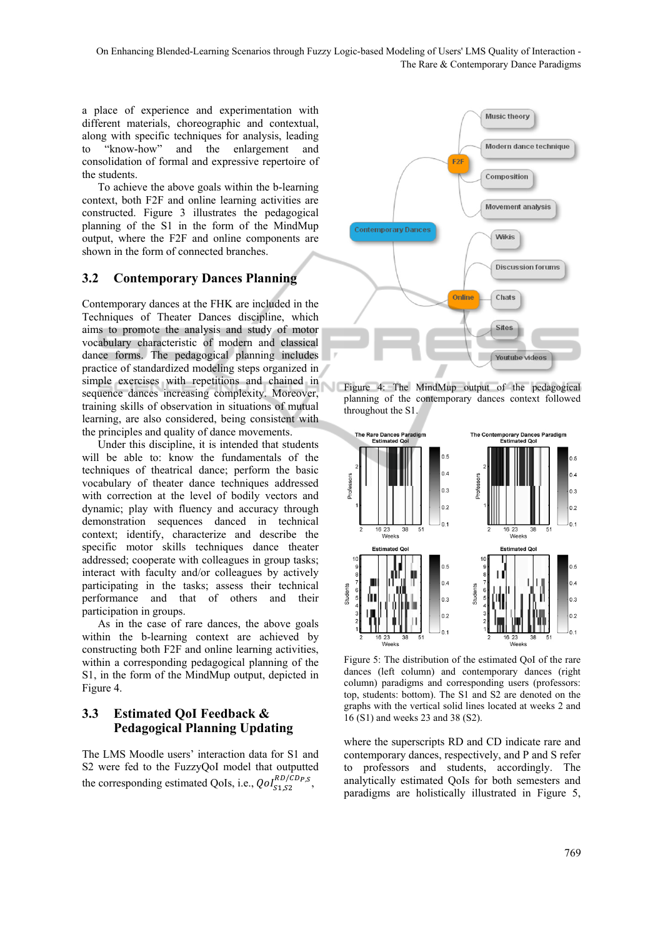On Enhancing Blended-Learning Scenarios through Fuzzy Logic-based Modeling of Users' LMS Quality of Interaction -The Rare & Contemporary Dance Paradigms

a place of experience and experimentation with different materials, choreographic and contextual, along with specific techniques for analysis, leading to "know-how" and the enlargement and consolidation of formal and expressive repertoire of the students.

To achieve the above goals within the b-learning context, both F2F and online learning activities are constructed. Figure 3 illustrates the pedagogical planning of the S1 in the form of the MindMup output, where the F2F and online components are shown in the form of connected branches.

#### **3.2 Contemporary Dances Planning**

Contemporary dances at the FHK are included in the Techniques of Theater Dances discipline, which aims to promote the analysis and study of motor vocabulary characteristic of modern and classical dance forms. The pedagogical planning includes practice of standardized modeling steps organized in simple exercises with repetitions and chained in sequence dances increasing complexity. Moreover, training skills of observation in situations of mutual learning, are also considered, being consistent with the principles and quality of dance movements.

Under this discipline, it is intended that students will be able to: know the fundamentals of the techniques of theatrical dance; perform the basic vocabulary of theater dance techniques addressed with correction at the level of bodily vectors and dynamic; play with fluency and accuracy through demonstration sequences danced in technical context; identify, characterize and describe the specific motor skills techniques dance theater addressed; cooperate with colleagues in group tasks; interact with faculty and/or colleagues by actively participating in the tasks; assess their technical performance and that of others and their participation in groups.

As in the case of rare dances, the above goals within the b-learning context are achieved by constructing both F2F and online learning activities, within a corresponding pedagogical planning of the S1, in the form of the MindMup output, depicted in Figure 4.

## **3.3 Estimated QoI Feedback & Pedagogical Planning Updating**

The LMS Moodle users' interaction data for S1 and S2 were fed to the FuzzyQoI model that outputted the corresponding estimated QoIs, i.e.,  $QoI_{S1,S2}^{RD/CDP,S}$ ,



Figure 4: The MindMup output of the pedagogical planning of the contemporary dances context followed throughout the S1.



Figure 5: The distribution of the estimated QoI of the rare dances (left column) and contemporary dances (right column) paradigms and corresponding users (professors: top, students: bottom). The S1 and S2 are denoted on the graphs with the vertical solid lines located at weeks 2 and 16 (S1) and weeks 23 and 38 (S2).

where the superscripts RD and CD indicate rare and contemporary dances, respectively, and P and S refer to professors and students, accordingly. The analytically estimated QoIs for both semesters and paradigms are holistically illustrated in Figure 5,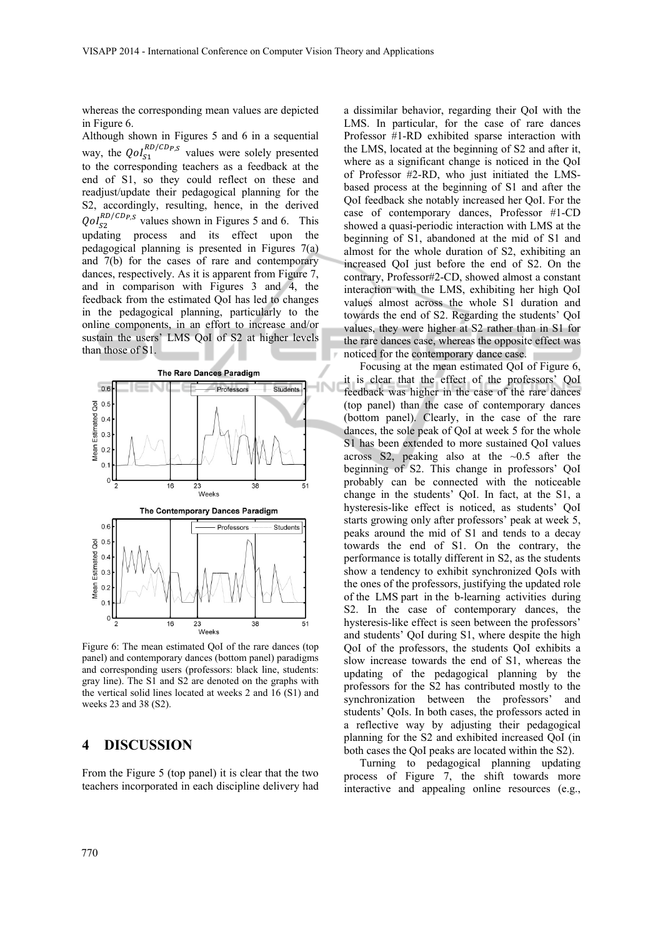whereas the corresponding mean values are depicted in Figure 6.

Although shown in Figures 5 and 6 in a sequential way, the  $QoI_{S1}^{RD/CD_{P,S}}$  values were solely presented to the corresponding teachers as a feedback at the end of S1, so they could reflect on these and readjust/update their pedagogical planning for the S2, accordingly, resulting, hence, in the derived  $QoI_{S2}^{RD/CDP,S}$  values shown in Figures 5 and 6. This updating process and its effect upon the pedagogical planning is presented in Figures 7(a) and 7(b) for the cases of rare and contemporary dances, respectively. As it is apparent from Figure 7, and in comparison with Figures 3 and 4, the feedback from the estimated QoI has led to changes in the pedagogical planning, particularly to the online components, in an effort to increase and/or sustain the users' LMS QoI of S2 at higher levels than those of S1.



Figure 6: The mean estimated QoI of the rare dances (top panel) and contemporary dances (bottom panel) paradigms and corresponding users (professors: black line, students: gray line). The S1 and S2 are denoted on the graphs with the vertical solid lines located at weeks 2 and 16 (S1) and weeks 23 and 38 (S2).

#### **4 DISCUSSION**

From the Figure 5 (top panel) it is clear that the two teachers incorporated in each discipline delivery had

a dissimilar behavior, regarding their QoI with the LMS. In particular, for the case of rare dances Professor #1-RD exhibited sparse interaction with the LMS, located at the beginning of S2 and after it, where as a significant change is noticed in the QoI of Professor #2-RD, who just initiated the LMSbased process at the beginning of S1 and after the QoI feedback she notably increased her QoI. For the case of contemporary dances, Professor #1-CD showed a quasi-periodic interaction with LMS at the beginning of S1, abandoned at the mid of S1 and almost for the whole duration of S2, exhibiting an increased QoI just before the end of S2. On the contrary, Professor#2-CD, showed almost a constant interaction with the LMS, exhibiting her high QoI values almost across the whole S1 duration and towards the end of S2. Regarding the students' QoI values, they were higher at S2 rather than in S1 for the rare dances case, whereas the opposite effect was noticed for the contemporary dance case.

Focusing at the mean estimated QoI of Figure 6, it is clear that the effect of the professors' QoI feedback was higher in the case of the rare dances (top panel) than the case of contemporary dances (bottom panel). Clearly, in the case of the rare dances, the sole peak of QoI at week 5 for the whole S1 has been extended to more sustained QoI values across S2, peaking also at the  $~0.5$  after the beginning of S2. This change in professors' QoI probably can be connected with the noticeable change in the students' QoI. In fact, at the S1, a hysteresis-like effect is noticed, as students' QoI starts growing only after professors' peak at week 5, peaks around the mid of S1 and tends to a decay towards the end of S1. On the contrary, the performance is totally different in S2, as the students show a tendency to exhibit synchronized QoIs with the ones of the professors, justifying the updated role of the LMS part in the b-learning activities during S2. In the case of contemporary dances, the hysteresis-like effect is seen between the professors' and students' QoI during S1, where despite the high QoI of the professors, the students QoI exhibits a slow increase towards the end of S1, whereas the updating of the pedagogical planning by the professors for the S2 has contributed mostly to the synchronization between the professors' and students' QoIs. In both cases, the professors acted in a reflective way by adjusting their pedagogical planning for the S2 and exhibited increased QoI (in both cases the QoI peaks are located within the S2).

Turning to pedagogical planning updating process of Figure 7, the shift towards more interactive and appealing online resources (e.g.,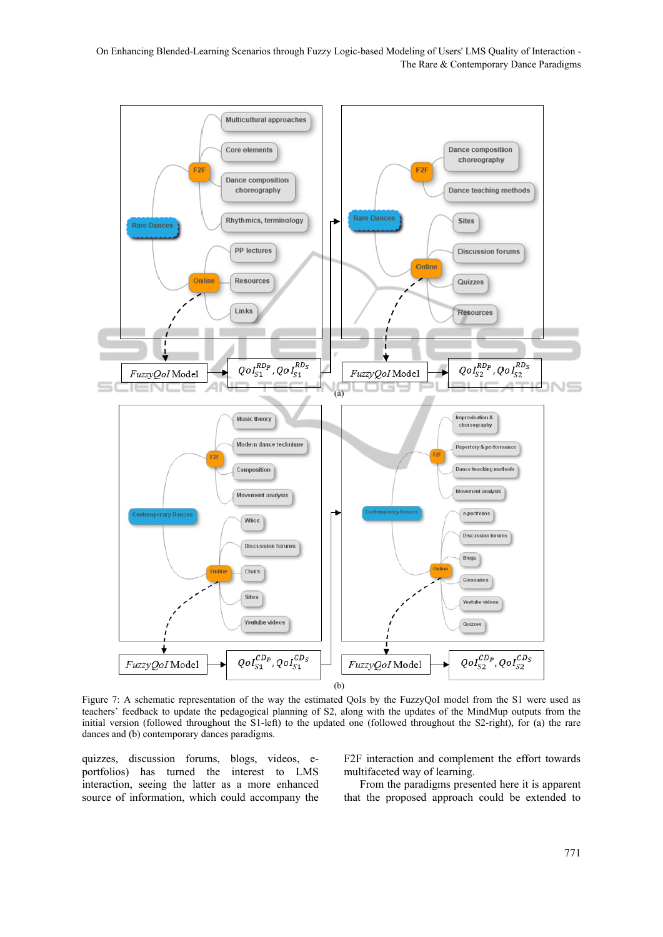On Enhancing Blended-Learning Scenarios through Fuzzy Logic-based Modeling of Users' LMS Quality of Interaction -The Rare & Contemporary Dance Paradigms



Figure 7: A schematic representation of the way the estimated QoIs by the FuzzyQoI model from the S1 were used as teachers' feedback to update the pedagogical planning of S2, along with the updates of the MindMup outputs from the initial version (followed throughout the S1-left) to the updated one (followed throughout the S2-right), for (a) the rare dances and (b) contemporary dances paradigms.

quizzes, discussion forums, blogs, videos, eportfolios) has turned the interest to LMS interaction, seeing the latter as a more enhanced source of information, which could accompany the F2F interaction and complement the effort towards multifaceted way of learning.

From the paradigms presented here it is apparent that the proposed approach could be extended to